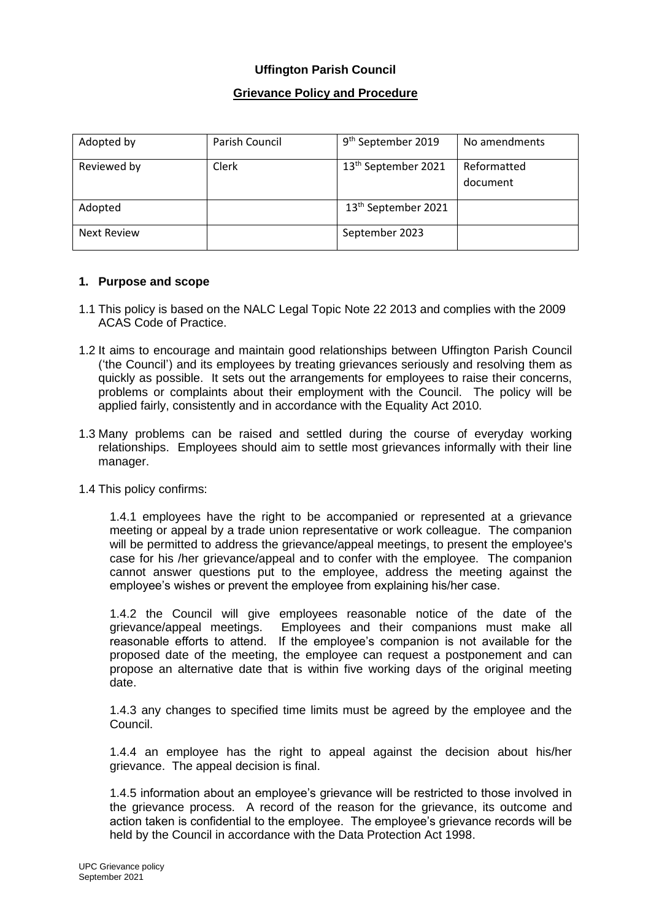### **Grievance Policy and Procedure**

| Adopted by         | Parish Council | 9 <sup>th</sup> September 2019  | No amendments           |
|--------------------|----------------|---------------------------------|-------------------------|
| Reviewed by        | Clerk          | 13 <sup>th</sup> September 2021 | Reformatted<br>document |
| Adopted            |                | 13 <sup>th</sup> September 2021 |                         |
| <b>Next Review</b> |                | September 2023                  |                         |

#### **1. Purpose and scope**

- 1.1 This policy is based on the NALC Legal Topic Note 22 2013 and complies with the 2009 ACAS Code of Practice.
- 1.2 It aims to encourage and maintain good relationships between Uffington Parish Council ('the Council') and its employees by treating grievances seriously and resolving them as quickly as possible. It sets out the arrangements for employees to raise their concerns, problems or complaints about their employment with the Council. The policy will be applied fairly, consistently and in accordance with the Equality Act 2010.
- 1.3 Many problems can be raised and settled during the course of everyday working relationships. Employees should aim to settle most grievances informally with their line manager.
- 1.4 This policy confirms:

1.4.1 employees have the right to be accompanied or represented at a grievance meeting or appeal by a trade union representative or work colleague. The companion will be permitted to address the grievance/appeal meetings, to present the employee's case for his /her grievance/appeal and to confer with the employee. The companion cannot answer questions put to the employee, address the meeting against the employee's wishes or prevent the employee from explaining his/her case.

1.4.2 the Council will give employees reasonable notice of the date of the grievance/appeal meetings. Employees and their companions must make all reasonable efforts to attend. If the employee's companion is not available for the proposed date of the meeting, the employee can request a postponement and can propose an alternative date that is within five working days of the original meeting date.

1.4.3 any changes to specified time limits must be agreed by the employee and the Council.

1.4.4 an employee has the right to appeal against the decision about his/her grievance. The appeal decision is final.

1.4.5 information about an employee's grievance will be restricted to those involved in the grievance process. A record of the reason for the grievance, its outcome and action taken is confidential to the employee. The employee's grievance records will be held by the Council in accordance with the Data Protection Act 1998.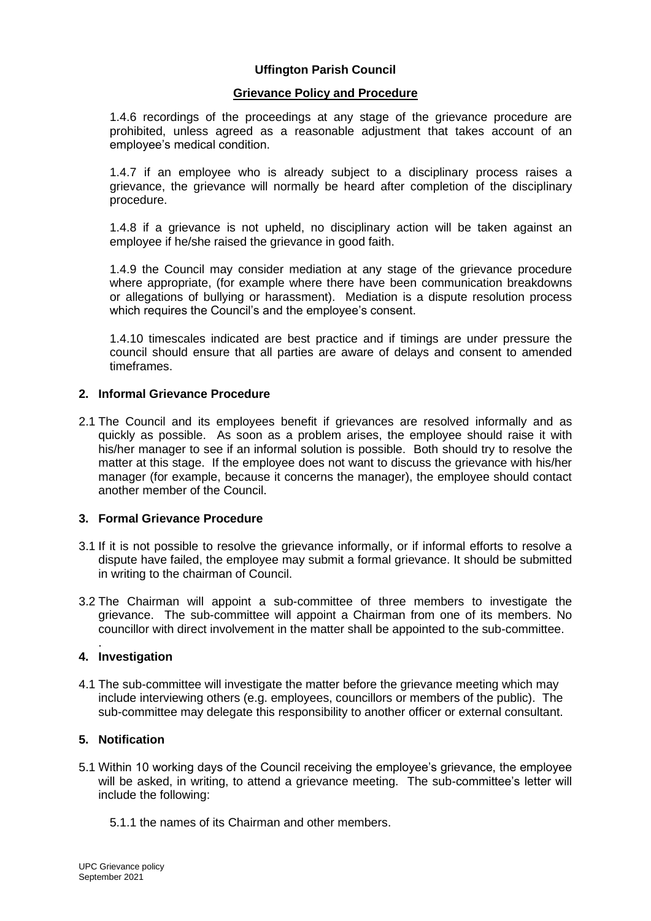#### **Grievance Policy and Procedure**

1.4.6 recordings of the proceedings at any stage of the grievance procedure are prohibited, unless agreed as a reasonable adjustment that takes account of an employee's medical condition.

1.4.7 if an employee who is already subject to a disciplinary process raises a grievance, the grievance will normally be heard after completion of the disciplinary procedure.

1.4.8 if a grievance is not upheld, no disciplinary action will be taken against an employee if he/she raised the grievance in good faith.

1.4.9 the Council may consider mediation at any stage of the grievance procedure where appropriate, (for example where there have been communication breakdowns or allegations of bullying or harassment). Mediation is a dispute resolution process which requires the Council's and the employee's consent.

1.4.10 timescales indicated are best practice and if timings are under pressure the council should ensure that all parties are aware of delays and consent to amended timeframes.

### **2. Informal Grievance Procedure**

2.1 The Council and its employees benefit if grievances are resolved informally and as quickly as possible. As soon as a problem arises, the employee should raise it with his/her manager to see if an informal solution is possible. Both should try to resolve the matter at this stage. If the employee does not want to discuss the grievance with his/her manager (for example, because it concerns the manager), the employee should contact another member of the Council.

#### **3. Formal Grievance Procedure**

- 3.1 If it is not possible to resolve the grievance informally, or if informal efforts to resolve a dispute have failed, the employee may submit a formal grievance. It should be submitted in writing to the chairman of Council.
- 3.2 The Chairman will appoint a sub-committee of three members to investigate the grievance. The sub-committee will appoint a Chairman from one of its members. No councillor with direct involvement in the matter shall be appointed to the sub-committee.

#### . **4. Investigation**

4.1 The sub-committee will investigate the matter before the grievance meeting which may include interviewing others (e.g. employees, councillors or members of the public). The sub-committee may delegate this responsibility to another officer or external consultant.

### **5. Notification**

- 5.1 Within 10 working days of the Council receiving the employee's grievance, the employee will be asked, in writing, to attend a grievance meeting. The sub-committee's letter will include the following:
	- 5.1.1 the names of its Chairman and other members.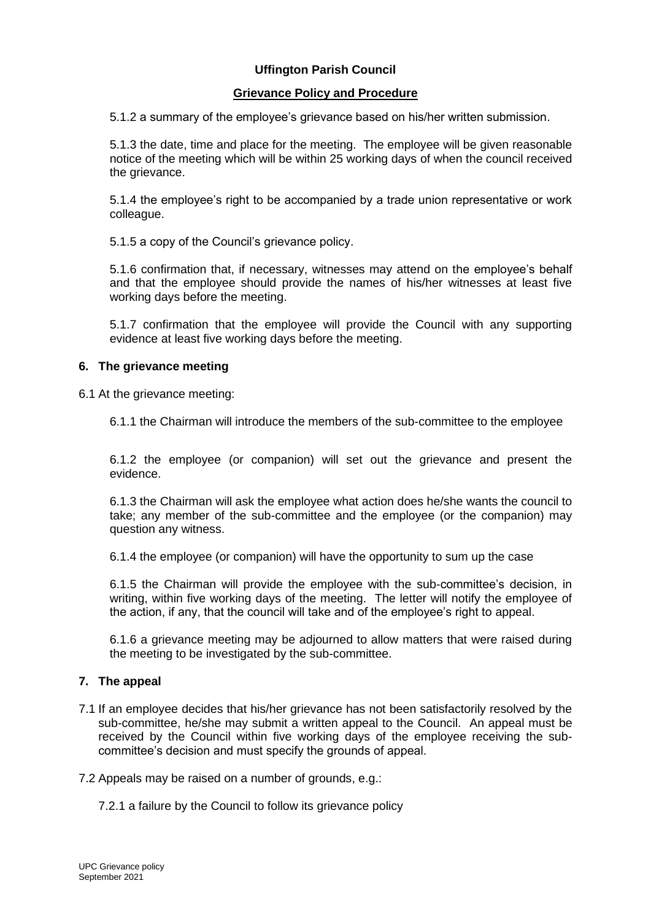### **Grievance Policy and Procedure**

5.1.2 a summary of the employee's grievance based on his/her written submission.

5.1.3 the date, time and place for the meeting. The employee will be given reasonable notice of the meeting which will be within 25 working days of when the council received the grievance.

5.1.4 the employee's right to be accompanied by a trade union representative or work colleague.

5.1.5 a copy of the Council's grievance policy.

5.1.6 confirmation that, if necessary, witnesses may attend on the employee's behalf and that the employee should provide the names of his/her witnesses at least five working days before the meeting.

5.1.7 confirmation that the employee will provide the Council with any supporting evidence at least five working days before the meeting.

#### **6. The grievance meeting**

6.1 At the grievance meeting:

6.1.1 the Chairman will introduce the members of the sub-committee to the employee

6.1.2 the employee (or companion) will set out the grievance and present the evidence.

6.1.3 the Chairman will ask the employee what action does he/she wants the council to take; any member of the sub-committee and the employee (or the companion) may question any witness.

6.1.4 the employee (or companion) will have the opportunity to sum up the case

6.1.5 the Chairman will provide the employee with the sub-committee's decision, in writing, within five working days of the meeting. The letter will notify the employee of the action, if any, that the council will take and of the employee's right to appeal.

6.1.6 a grievance meeting may be adjourned to allow matters that were raised during the meeting to be investigated by the sub-committee.

#### **7. The appeal**

7.1 If an employee decides that his/her grievance has not been satisfactorily resolved by the sub-committee, he/she may submit a written appeal to the Council. An appeal must be received by the Council within five working days of the employee receiving the subcommittee's decision and must specify the grounds of appeal.

7.2 Appeals may be raised on a number of grounds, e.g.:

7.2.1 a failure by the Council to follow its grievance policy